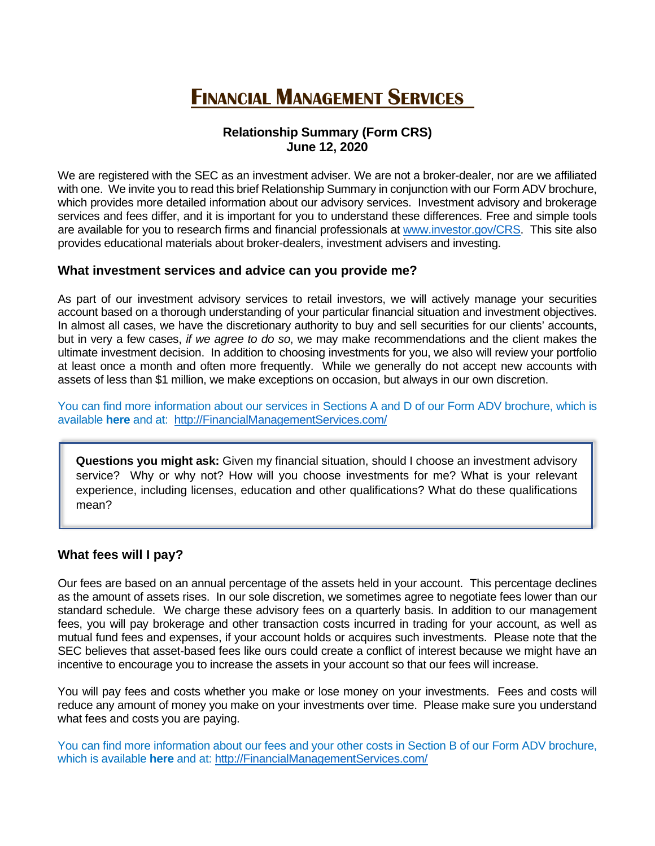# **FINANCIAL MANAGEMENT SERVICES**

## **Relationship Summary (Form CRS) June 12, 2020**

<span id="page-0-0"></span>We are registered with the SEC as an investment adviser. We are not a broker-dealer, nor are we affiliated with one. We invite you to read this brief Relationship Summary in conjunction with our Form ADV brochure, which provides more detailed information about our advisory services. Investment advisory and brokerage services and fees differ, and it is important for you to understand these differences. Free and simple tools are available for you to research firms and financial professionals at [www.investor.gov/CRS.](http://www.investor.gov/CRS) This site also provides educational materials about broker-dealers, investment advisers and investing.

#### **What investment services and advice can you provide me?**

As part of our investment advisory services to retail investors, we will actively manage your securities account based on a thorough understanding of your particular financial situation and investment objectives. In almost all cases, we have the discretionary authority to buy and sell securities for our clients' accounts, but in very a few cases, *if we agree to do so*, we may make recommendations and the client makes the ultimate investment decision. In addition to choosing investments for you, we also will review your portfolio at least once a month and often more frequently. While we generally do not accept new accounts with assets of less than \$1 million, we make exceptions on occasion, but always in our own discretion.

You can find more information about our services in Sections A and D of our Form ADV brochure, which is available **[here](#page-3-0)** and at: [http://FinancialManagementServices.com/](http://financialmanagementservices.com/)

**Questions you might ask:** Given my financial situation, should I choose an investment advisory service? Why or why not? How will you choose investments for me? What is your relevant experience, including licenses, education and other qualifications? What do these qualifications mean?

#### **What fees will I pay?**

Our fees are based on an annual percentage of the assets held in your account. This percentage declines as the amount of assets rises. In our sole discretion, we sometimes agree to negotiate fees lower than our standard schedule. We charge these advisory fees on a quarterly basis. In addition to our management fees, you will pay brokerage and other transaction costs incurred in trading for your account, as well as mutual fund fees and expenses, if your account holds or acquires such investments. Please note that the SEC believes that asset-based fees like ours could create a conflict of interest because we might have an incentive to encourage you to increase the assets in your account so that our fees will increase.

You will pay fees and costs whether you make or lose money on your investments. Fees and costs will reduce any amount of money you make on your investments over time. Please make sure you understand what fees and costs you are paying.

You can find more information about our fees and your other costs in Section B of our Form ADV brochure, which is available **[here](#page-4-0)** and at: [http://FinancialManagementServices.com/](http://financialmanagementservices.com/)